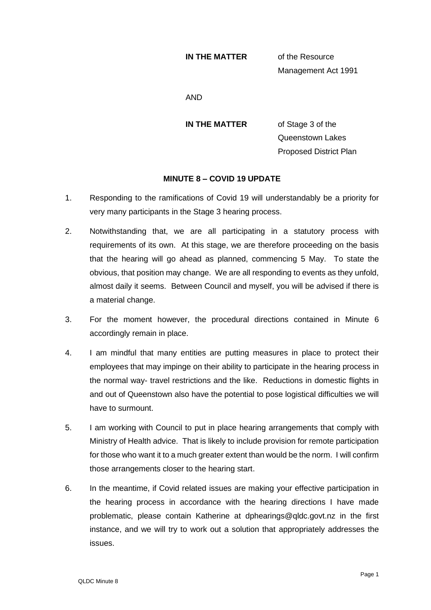## **IN THE MATTER** of the Resource

Management Act 1991

AND

**IN THE MATTER** of Stage 3 of the Queenstown Lakes Proposed District Plan

## **MINUTE 8 – COVID 19 UPDATE**

- 1. Responding to the ramifications of Covid 19 will understandably be a priority for very many participants in the Stage 3 hearing process.
- 2. Notwithstanding that, we are all participating in a statutory process with requirements of its own. At this stage, we are therefore proceeding on the basis that the hearing will go ahead as planned, commencing 5 May. To state the obvious, that position may change. We are all responding to events as they unfold, almost daily it seems. Between Council and myself, you will be advised if there is a material change.
- 3. For the moment however, the procedural directions contained in Minute 6 accordingly remain in place.
- 4. I am mindful that many entities are putting measures in place to protect their employees that may impinge on their ability to participate in the hearing process in the normal way- travel restrictions and the like. Reductions in domestic flights in and out of Queenstown also have the potential to pose logistical difficulties we will have to surmount.
- 5. I am working with Council to put in place hearing arrangements that comply with Ministry of Health advice. That is likely to include provision for remote participation for those who want it to a much greater extent than would be the norm. I will confirm those arrangements closer to the hearing start.
- 6. In the meantime, if Covid related issues are making your effective participation in the hearing process in accordance with the hearing directions I have made problematic, please contain Katherine at dphearings@qldc.govt.nz in the first instance, and we will try to work out a solution that appropriately addresses the issues.